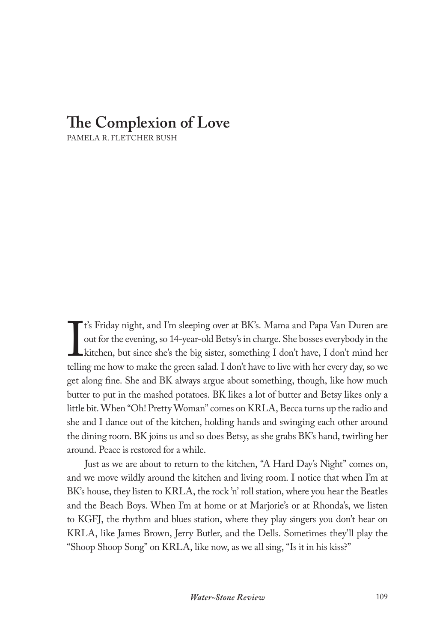## **The Complexion of Love**

PAMELA R. FLETCHER BUSH

If the evening, so 14-year-old Betsy's in charge. She bosses everybody in the kitchen, but since she's the big sister, something I don't have, I don't mind her telling me how to make the green salad. I don't have to live w t's Friday night, and I'm sleeping over at BK's. Mama and Papa Van Duren are out for the evening, so 14-year-old Betsy's in charge. She bosses everybody in the kitchen, but since she's the big sister, something I don't have, I don't mind her get along fine. She and BK always argue about something, though, like how much butter to put in the mashed potatoes. BK likes a lot of butter and Betsy likes only a little bit. When "Oh! Pretty Woman" comes on KRLA, Becca turns up the radio and she and I dance out of the kitchen, holding hands and swinging each other around the dining room. BK joins us and so does Betsy, as she grabs BK's hand, twirling her around. Peace is restored for a while.

Just as we are about to return to the kitchen, "A Hard Day's Night" comes on, and we move wildly around the kitchen and living room. I notice that when I'm at BK's house, they listen to KRLA, the rock 'n' roll station, where you hear the Beatles and the Beach Boys. When I'm at home or at Marjorie's or at Rhonda's, we listen to KGFJ, the rhythm and blues station, where they play singers you don't hear on KRLA, like James Brown, Jerry Butler, and the Dells. Sometimes they'll play the "Shoop Shoop Song" on KRLA, like now, as we all sing, "Is it in his kiss?"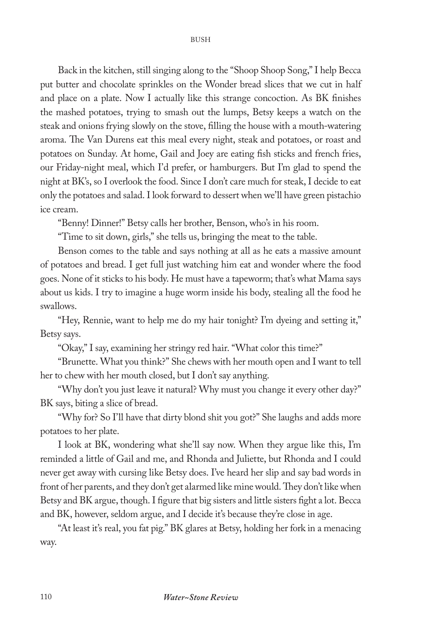Back in the kitchen, still singing along to the "Shoop Shoop Song," I help Becca put butter and chocolate sprinkles on the Wonder bread slices that we cut in half and place on a plate. Now I actually like this strange concoction. As BK finishes the mashed potatoes, trying to smash out the lumps, Betsy keeps a watch on the steak and onions frying slowly on the stove, filling the house with a mouth-watering aroma. The Van Durens eat this meal every night, steak and potatoes, or roast and potatoes on Sunday. At home, Gail and Joey are eating fish sticks and french fries, our Friday-night meal, which I'd prefer, or hamburgers. But I'm glad to spend the night at BK's, so I overlook the food. Since I don't care much for steak, I decide to eat only the potatoes and salad. I look forward to dessert when we'll have green pistachio ice cream.

"Benny! Dinner!" Betsy calls her brother, Benson, who's in his room.

"Time to sit down, girls," she tells us, bringing the meat to the table.

Benson comes to the table and says nothing at all as he eats a massive amount of potatoes and bread. I get full just watching him eat and wonder where the food goes. None of it sticks to his body. He must have a tapeworm; that's what Mama says about us kids. I try to imagine a huge worm inside his body, stealing all the food he swallows.

"Hey, Rennie, want to help me do my hair tonight? I'm dyeing and setting it," Betsy says.

"Okay," I say, examining her stringy red hair. "What color this time?"

"Brunette. What you think?" She chews with her mouth open and I want to tell her to chew with her mouth closed, but I don't say anything.

"Why don't you just leave it natural? Why must you change it every other day?" BK says, biting a slice of bread.

"Why for? So I'll have that dirty blond shit you got?" She laughs and adds more potatoes to her plate.

I look at BK, wondering what she'll say now. When they argue like this, I'm reminded a little of Gail and me, and Rhonda and Juliette, but Rhonda and I could never get away with cursing like Betsy does. I've heard her slip and say bad words in front of her parents, and they don't get alarmed like mine would. They don't like when Betsy and BK argue, though. I figure that big sisters and little sisters fight a lot. Becca and BK, however, seldom argue, and I decide it's because they're close in age.

"At least it's real, you fat pig." BK glares at Betsy, holding her fork in a menacing way.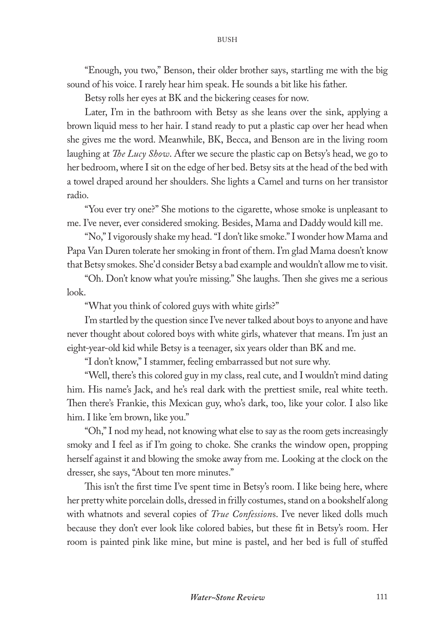"Enough, you two," Benson, their older brother says, startling me with the big sound of his voice. I rarely hear him speak. He sounds a bit like his father.

Betsy rolls her eyes at BK and the bickering ceases for now.

Later, I'm in the bathroom with Betsy as she leans over the sink, applying a brown liquid mess to her hair. I stand ready to put a plastic cap over her head when she gives me the word. Meanwhile, BK, Becca, and Benson are in the living room laughing at *The Lucy Show*. After we secure the plastic cap on Betsy's head, we go to her bedroom, where I sit on the edge of her bed. Betsy sits at the head of the bed with a towel draped around her shoulders. She lights a Camel and turns on her transistor radio.

"You ever try one?" She motions to the cigarette, whose smoke is unpleasant to me. I've never, ever considered smoking. Besides, Mama and Daddy would kill me.

"No," I vigorously shake my head. "I don't like smoke." I wonder how Mama and Papa Van Duren tolerate her smoking in front of them. I'm glad Mama doesn't know that Betsy smokes. She'd consider Betsy a bad example and wouldn't allow me to visit.

"Oh. Don't know what you're missing." She laughs. Then she gives me a serious look.

"What you think of colored guys with white girls?"

I'm startled by the question since I've never talked about boys to anyone and have never thought about colored boys with white girls, whatever that means. I'm just an eight-year-old kid while Betsy is a teenager, six years older than BK and me.

"I don't know," I stammer, feeling embarrassed but not sure why.

"Well, there's this colored guy in my class, real cute, and I wouldn't mind dating him. His name's Jack, and he's real dark with the prettiest smile, real white teeth. Then there's Frankie, this Mexican guy, who's dark, too, like your color. I also like him. I like 'em brown, like you."

"Oh," I nod my head, not knowing what else to say as the room gets increasingly smoky and I feel as if I'm going to choke. She cranks the window open, propping herself against it and blowing the smoke away from me. Looking at the clock on the dresser, she says, "About ten more minutes."

This isn't the first time I've spent time in Betsy's room. I like being here, where her pretty white porcelain dolls, dressed in frilly costumes, stand on a bookshelf along with whatnots and several copies of *True Confession*s. I've never liked dolls much because they don't ever look like colored babies, but these fit in Betsy's room. Her room is painted pink like mine, but mine is pastel, and her bed is full of stuffed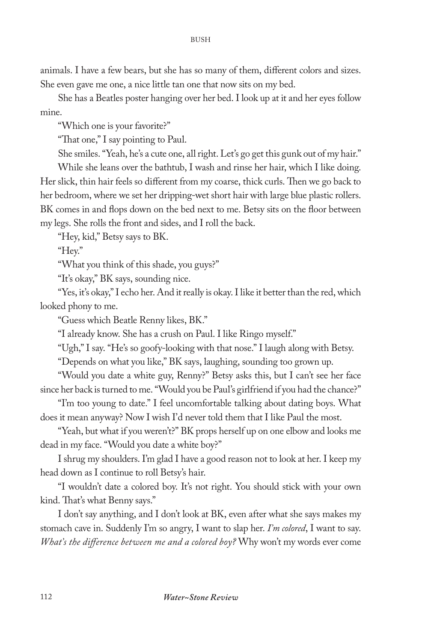animals. I have a few bears, but she has so many of them, different colors and sizes. She even gave me one, a nice little tan one that now sits on my bed.

She has a Beatles poster hanging over her bed. I look up at it and her eyes follow mine.

"Which one is your favorite?"

"That one," I say pointing to Paul.

She smiles. "Yeah, he's a cute one, all right. Let's go get this gunk out of my hair."

While she leans over the bathtub, I wash and rinse her hair, which I like doing. Her slick, thin hair feels so different from my coarse, thick curls. Then we go back to her bedroom, where we set her dripping-wet short hair with large blue plastic rollers. BK comes in and flops down on the bed next to me. Betsy sits on the floor between my legs. She rolls the front and sides, and I roll the back.

"Hey, kid," Betsy says to BK.

"Hey."

"What you think of this shade, you guys?"

"It's okay," BK says, sounding nice.

"Yes, it's okay," I echo her. And it really is okay. I like it better than the red, which looked phony to me.

"Guess which Beatle Renny likes, BK."

"I already know. She has a crush on Paul. I like Ringo myself."

"Ugh," I say. "He's so goofy-looking with that nose." I laugh along with Betsy.

"Depends on what you like," BK says, laughing, sounding too grown up.

"Would you date a white guy, Renny?" Betsy asks this, but I can't see her face since her back is turned to me. "Would you be Paul's girlfriend if you had the chance?"

"I'm too young to date." I feel uncomfortable talking about dating boys. What does it mean anyway? Now I wish I'd never told them that I like Paul the most.

"Yeah, but what if you weren't?" BK props herself up on one elbow and looks me dead in my face. "Would you date a white boy?"

I shrug my shoulders. I'm glad I have a good reason not to look at her. I keep my head down as I continue to roll Betsy's hair.

"I wouldn't date a colored boy. It's not right. You should stick with your own kind. That's what Benny says."

I don't say anything, and I don't look at BK, even after what she says makes my stomach cave in. Suddenly I'm so angry, I want to slap her. *I'm colored*, I want to say. *What's the difference between me and a colored boy?* Why won't my words ever come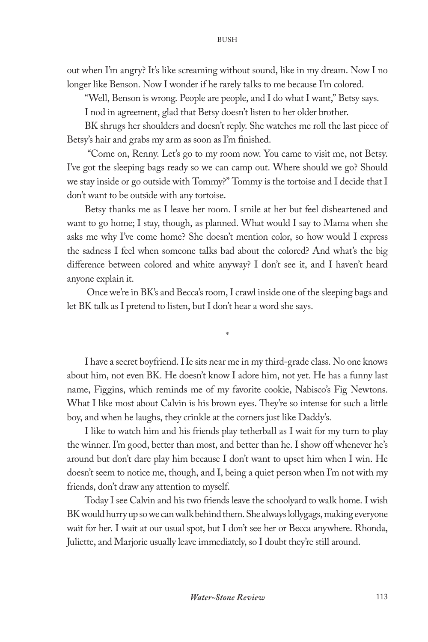out when I'm angry? It's like screaming without sound, like in my dream. Now I no longer like Benson. Now I wonder if he rarely talks to me because I'm colored.

"Well, Benson is wrong. People are people, and I do what I want," Betsy says.

I nod in agreement, glad that Betsy doesn't listen to her older brother.

BK shrugs her shoulders and doesn't reply. She watches me roll the last piece of Betsy's hair and grabs my arm as soon as I'm finished.

 "Come on, Renny. Let's go to my room now. You came to visit me, not Betsy. I've got the sleeping bags ready so we can camp out. Where should we go? Should we stay inside or go outside with Tommy?" Tommy is the tortoise and I decide that I don't want to be outside with any tortoise.

Betsy thanks me as I leave her room. I smile at her but feel disheartened and want to go home; I stay, though, as planned. What would I say to Mama when she asks me why I've come home? She doesn't mention color, so how would I express the sadness I feel when someone talks bad about the colored? And what's the big difference between colored and white anyway? I don't see it, and I haven't heard anyone explain it.

 Once we're in BK's and Becca's room, I crawl inside one of the sleeping bags and let BK talk as I pretend to listen, but I don't hear a word she says.

\*

I have a secret boyfriend. He sits near me in my third-grade class. No one knows about him, not even BK. He doesn't know I adore him, not yet. He has a funny last name, Figgins, which reminds me of my favorite cookie, Nabisco's Fig Newtons. What I like most about Calvin is his brown eyes. They're so intense for such a little boy, and when he laughs, they crinkle at the corners just like Daddy's.

I like to watch him and his friends play tetherball as I wait for my turn to play the winner. I'm good, better than most, and better than he. I show off whenever he's around but don't dare play him because I don't want to upset him when I win. He doesn't seem to notice me, though, and I, being a quiet person when I'm not with my friends, don't draw any attention to myself.

Today I see Calvin and his two friends leave the schoolyard to walk home. I wish BK would hurry up so we can walk behind them. She always lollygags, making everyone wait for her. I wait at our usual spot, but I don't see her or Becca anywhere. Rhonda, Juliette, and Marjorie usually leave immediately, so I doubt they're still around.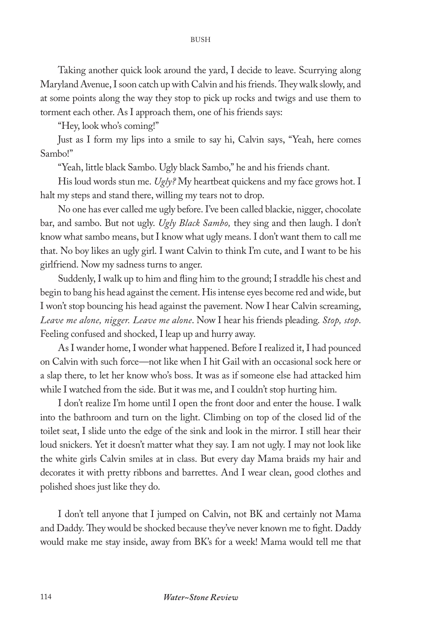Taking another quick look around the yard, I decide to leave. Scurrying along Maryland Avenue, I soon catch up with Calvin and his friends. They walk slowly, and at some points along the way they stop to pick up rocks and twigs and use them to torment each other. As I approach them, one of his friends says:

"Hey, look who's coming!"

Just as I form my lips into a smile to say hi, Calvin says, "Yeah, here comes Sambo!"

"Yeah, little black Sambo. Ugly black Sambo," he and his friends chant.

His loud words stun me. *Ugly?* My heartbeat quickens and my face grows hot. I halt my steps and stand there, willing my tears not to drop.

No one has ever called me ugly before. I've been called blackie, nigger, chocolate bar, and sambo. But not ugly. *Ugly Black Sambo,* they sing and then laugh. I don't know what sambo means, but I know what ugly means. I don't want them to call me that. No boy likes an ugly girl. I want Calvin to think I'm cute, and I want to be his girlfriend. Now my sadness turns to anger.

Suddenly, I walk up to him and fling him to the ground; I straddle his chest and begin to bang his head against the cement. His intense eyes become red and wide, but I won't stop bouncing his head against the pavement. Now I hear Calvin screaming, *Leave me alone, nigger. Leave me alone*. Now I hear his friends pleading. *Stop, stop*. Feeling confused and shocked, I leap up and hurry away.

As I wander home, I wonder what happened. Before I realized it, I had pounced on Calvin with such force—not like when I hit Gail with an occasional sock here or a slap there, to let her know who's boss. It was as if someone else had attacked him while I watched from the side. But it was me, and I couldn't stop hurting him.

I don't realize I'm home until I open the front door and enter the house. I walk into the bathroom and turn on the light. Climbing on top of the closed lid of the toilet seat, I slide unto the edge of the sink and look in the mirror. I still hear their loud snickers. Yet it doesn't matter what they say. I am not ugly. I may not look like the white girls Calvin smiles at in class. But every day Mama braids my hair and decorates it with pretty ribbons and barrettes. And I wear clean, good clothes and polished shoes just like they do.

I don't tell anyone that I jumped on Calvin, not BK and certainly not Mama and Daddy. They would be shocked because they've never known me to fight. Daddy would make me stay inside, away from BK's for a week! Mama would tell me that